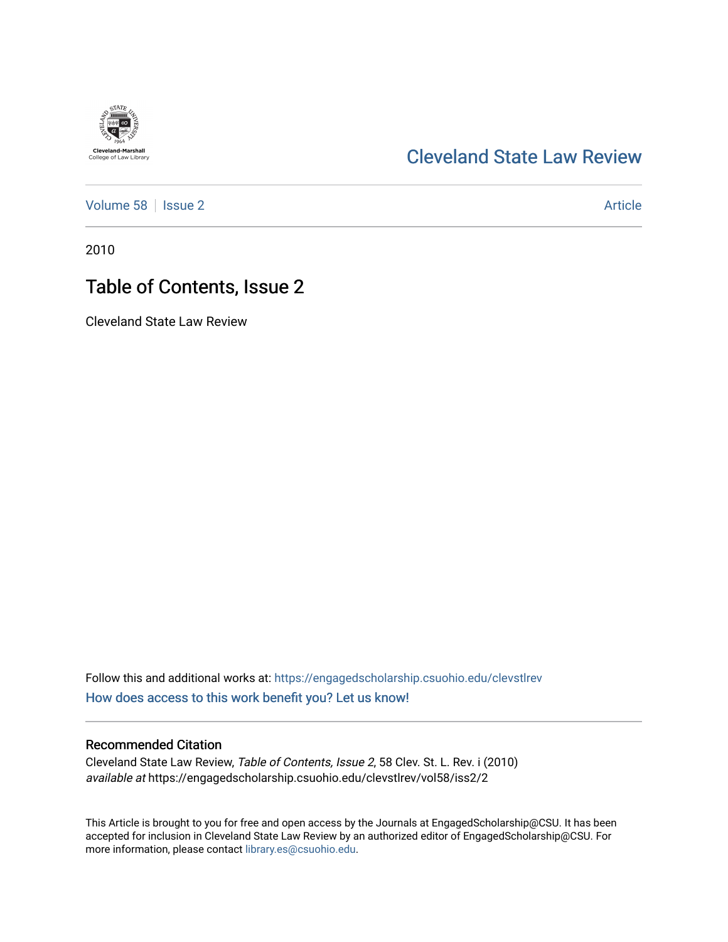## [Cleveland State Law Review](https://engagedscholarship.csuohio.edu/clevstlrev)

[Volume 58](https://engagedscholarship.csuohio.edu/clevstlrev/vol58) | [Issue 2](https://engagedscholarship.csuohio.edu/clevstlrev/vol58/iss2) Article

2010

## Table of Contents, Issue 2

Cleveland State Law Review

Follow this and additional works at: [https://engagedscholarship.csuohio.edu/clevstlrev](https://engagedscholarship.csuohio.edu/clevstlrev?utm_source=engagedscholarship.csuohio.edu%2Fclevstlrev%2Fvol58%2Fiss2%2F2&utm_medium=PDF&utm_campaign=PDFCoverPages) [How does access to this work benefit you? Let us know!](http://library.csuohio.edu/engaged/)

### Recommended Citation

Cleveland State Law Review, Table of Contents, Issue 2, 58 Clev. St. L. Rev. i (2010) available at https://engagedscholarship.csuohio.edu/clevstlrev/vol58/iss2/2

This Article is brought to you for free and open access by the Journals at EngagedScholarship@CSU. It has been accepted for inclusion in Cleveland State Law Review by an authorized editor of EngagedScholarship@CSU. For more information, please contact [library.es@csuohio.edu](mailto:library.es@csuohio.edu).